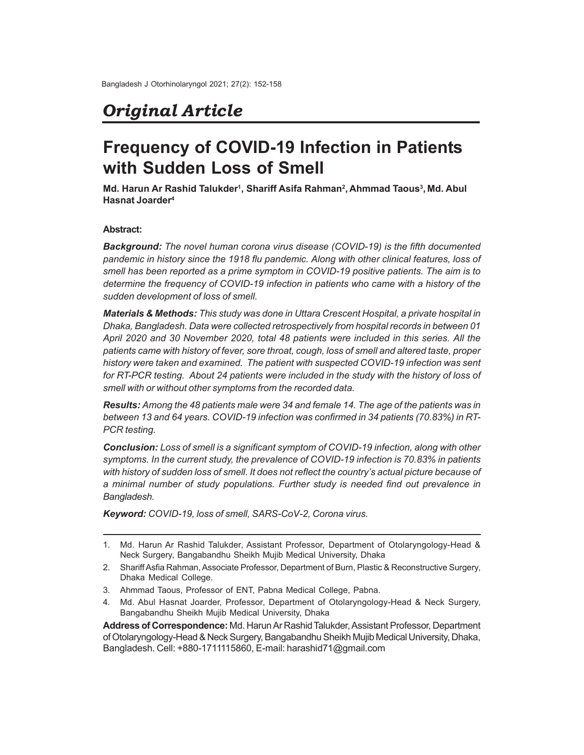# *Original Article*

# **Frequency of COVID-19 Infection in Patients with Sudden Loss of Smell**

**Md. Harun Ar Rashid Talukder<sup>1</sup> , Shariff Asifa Rahman<sup>2</sup> , Ahmmad Taous<sup>3</sup> , Md. Abul Hasnat Joarder<sup>4</sup>**

## **Abstract:**

*Background: The novel human corona virus disease (COVID-19) is the fifth documented pandemic in history since the 1918 flu pandemic. Along with other clinical features, loss of smell has been reported as a prime symptom in COVID-19 positive patients. The aim is to determine the frequency of COVID-19 infection in patients who came with a history of the sudden development of loss of smell.*

*Materials & Methods: This study was done in Uttara Crescent Hospital, a private hospital in Dhaka, Bangladesh. Data were collected retrospectively from hospital records in between 01 April 2020 and 30 November 2020, total 48 patients were included in this series. All the patients came with history of fever, sore throat, cough, loss of smell and altered taste, proper history were taken and examined. The patient with suspected COVID-19 infection was sent for RT-PCR testing. About 24 patients were included in the study with the history of loss of smell with or without other symptoms from the recorded data.*

*Results: Among the 48 patients male were 34 and female 14. The age of the patients was in between 13 and 64 years. COVID-19 infection was confirmed in 34 patients (70.83%) in RT-PCR testing.*

*Conclusion: Loss of smell is a significant symptom of COVID-19 infection, along with other symptoms. In the current study, the prevalence of COVID-19 infection is 70.83% in patients with history of sudden loss of smell. It does not reflect the country's actual picture because of a minimal number of study populations. Further study is needed find out prevalence in Bangladesh.*

*Keyword: COVID-19, loss of smell, SARS-CoV-2, Corona virus.*

<sup>1.</sup> Md. Harun Ar Rashid Talukder, Assistant Professor, Department of Otolaryngology-Head & Neck Surgery, Bangabandhu Sheikh Mujib Medical University, Dhaka

<sup>2.</sup> Shariff Asfia Rahman, Associate Professor, Department of Burn, Plastic & Reconstructive Surgery, Dhaka Medical College.

<sup>3.</sup> Ahmmad Taous, Professor of ENT, Pabna Medical College, Pabna.

<sup>4.</sup> Md. Abul Hasnat Joarder, Professor, Department of Otolaryngology-Head & Neck Surgery, Bangabandhu Sheikh Mujib Medical University, Dhaka

**Address of Correspondence:** Md. Harun Ar Rashid Talukder, Assistant Professor, Department of Otolaryngology-Head & Neck Surgery, Bangabandhu Sheikh Mujib Medical University, Dhaka, Bangladesh. Cell: +880-1711115860, E-mail: harashid71@gmail.com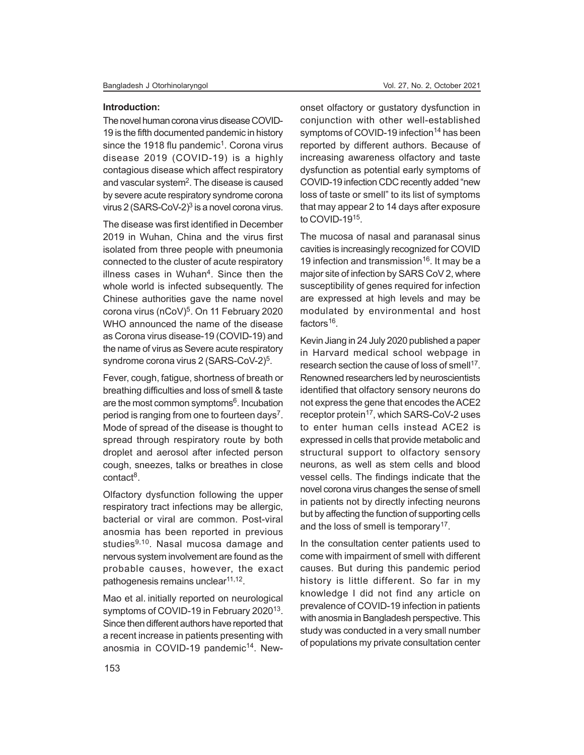### **Introduction:**

The novel human corona virus disease COVID-19 is the fifth documented pandemic in history since the 1918 flu pandemic $^1$ . Corona virus disease 2019 (COVID-19) is a highly contagious disease which affect respiratory and vascular system<sup>2</sup>. The disease is caused by severe acute respiratory syndrome corona virus 2 (SARS-CoV-2) $3$  is a novel corona virus.

The disease was first identified in December 2019 in Wuhan, China and the virus first isolated from three people with pneumonia connected to the cluster of acute respiratory illness cases in Wuhan<sup>4</sup>. Since then the whole world is infected subsequently. The Chinese authorities gave the name novel corona virus (nCoV)<sup>5</sup>. On 11 February 2020 WHO announced the name of the disease as Corona virus disease-19 (COVID-19) and the name of virus as Severe acute respiratory syndrome corona virus 2 (SARS-CoV-2)<sup>5</sup>.

Fever, cough, fatigue, shortness of breath or breathing difficulties and loss of smell & taste are the most common symptoms<sup>6</sup>. Incubation period is ranging from one to fourteen days<sup>7</sup>. Mode of spread of the disease is thought to spread through respiratory route by both droplet and aerosol after infected person cough, sneezes, talks or breathes in close contact<sup>8</sup>.

Olfactory dysfunction following the upper respiratory tract infections may be allergic, bacterial or viral are common. Post-viral anosmia has been reported in previous studies<sup>9,10</sup>. Nasal mucosa damage and nervous system involvement are found as the probable causes, however, the exact pathogenesis remains unclear<sup>11,12</sup>.

Mao et al. initially reported on neurological symptoms of COVID-19 in February 2020<sup>13</sup>. Since then different authors have reported that a recent increase in patients presenting with anosmia in COVID-19 pandemic<sup>14</sup>. Newonset olfactory or gustatory dysfunction in conjunction with other well-established symptoms of COVID-19 infection<sup>14</sup> has been reported by different authors. Because of increasing awareness olfactory and taste dysfunction as potential early symptoms of COVID-19 infection CDC recently added "new loss of taste or smell" to its list of symptoms that may appear 2 to 14 days after exposure to COVID-19<sup>15</sup>.

The mucosa of nasal and paranasal sinus cavities is increasingly recognized for COVID 19 infection and transmission<sup>16</sup>. It may be a major site of infection by SARS CoV 2, where susceptibility of genes required for infection are expressed at high levels and may be modulated by environmental and host factors<sup>16</sup>.

Kevin Jiang in 24 July 2020 published a paper in Harvard medical school webpage in research section the cause of loss of smell<sup>17</sup>. Renowned researchers led by neuroscientists identified that olfactory sensory neurons do not express the gene that encodes the ACE2 receptor protein<sup>17</sup>, which SARS-CoV-2 uses to enter human cells instead ACE2 is expressed in cells that provide metabolic and structural support to olfactory sensory neurons, as well as stem cells and blood vessel cells. The findings indicate that the novel corona virus changes the sense of smell in patients not by directly infecting neurons but by affecting the function of supporting cells and the loss of smell is temporary<sup>17</sup>.

In the consultation center patients used to come with impairment of smell with different causes. But during this pandemic period history is little different. So far in my knowledge I did not find any article on prevalence of COVID-19 infection in patients with anosmia in Bangladesh perspective. This study was conducted in a very small number of populations my private consultation center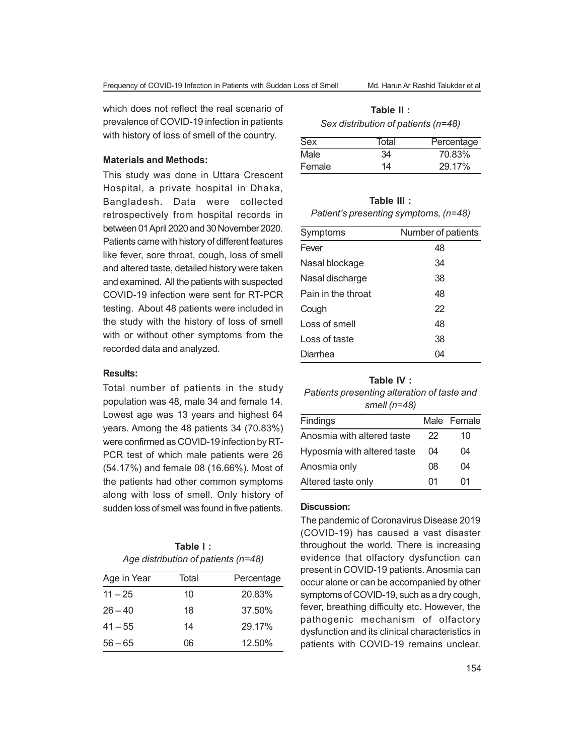which does not reflect the real scenario of prevalence of COVID-19 infection in patients with history of loss of smell of the country.

### **Materials and Methods:**

This study was done in Uttara Crescent Hospital, a private hospital in Dhaka, Bangladesh. Data were collected retrospectively from hospital records in between 01 April 2020 and 30 November 2020. Patients came with history of different features like fever, sore throat, cough, loss of smell and altered taste, detailed history were taken and examined. All the patients with suspected COVID-19 infection were sent for RT-PCR testing. About 48 patients were included in the study with the history of loss of smell with or without other symptoms from the recorded data and analyzed.

## **Results:**

Total number of patients in the study population was 48, male 34 and female 14. Lowest age was 13 years and highest 64 years. Among the 48 patients 34 (70.83%) were confirmed as COVID-19 infection by RT-PCR test of which male patients were 26 (54.17%) and female 08 (16.66%). Most of the patients had other common symptoms along with loss of smell. Only history of sudden loss of smell was found in five patients.

| Table I:                            |  |
|-------------------------------------|--|
| Age distribution of patients (n=48) |  |

| Age in Year | Total | Percentage |
|-------------|-------|------------|
| $11 - 25$   | 10    | 20.83%     |
| $26 - 40$   | 18    | 37.50%     |
| $41 - 55$   | 14    | 29.17%     |
| $56 - 65$   | 06    | 12.50%     |
|             |       |            |

**Table II :** *Sex distribution of patients (n=48)*

| $\overline{\text{Sex}}$ | Total | Percentage |
|-------------------------|-------|------------|
| Male                    | 34    | 70.83%     |
| Female                  | 14    | 29.17%     |

# **Table III :** *Patient's presenting symptoms, (n=48)*

| Symptoms           | Number of patients |
|--------------------|--------------------|
| Fever              | 48                 |
| Nasal blockage     | 34                 |
| Nasal discharge    | 38                 |
| Pain in the throat | 48                 |
| Cough              | 22                 |
| Loss of smell      | 48                 |
| Loss of taste      | 38                 |
| Diarrhea           | 04                 |
|                    |                    |

## **Table IV :**

*Patients presenting alteration of taste and smell (n=48)*

| Findings                    |    | Male Female |
|-----------------------------|----|-------------|
| Anosmia with altered taste  | 22 | 10          |
| Hyposmia with altered taste | 04 | 04          |
| Anosmia only                | 08 | 04          |
| Altered taste only          | 01 | 01          |

## **Discussion:**

The pandemic of Coronavirus Disease 2019 (COVID-19) has caused a vast disaster throughout the world. There is increasing evidence that olfactory dysfunction can present in COVID-19 patients. Anosmia can occur alone or can be accompanied by other symptoms of COVID-19, such as a dry cough, fever, breathing difficulty etc. However, the pathogenic mechanism of olfactory dysfunction and its clinical characteristics in patients with COVID-19 remains unclear.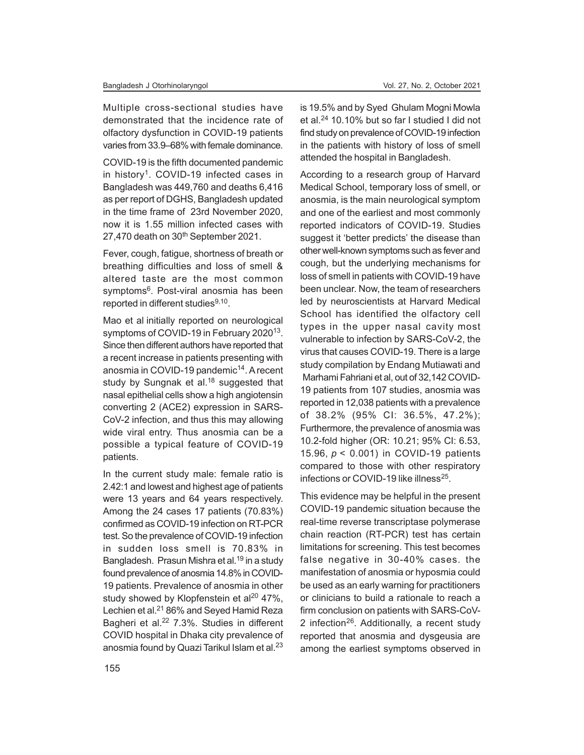Multiple cross-sectional studies have demonstrated that the incidence rate of olfactory dysfunction in COVID-19 patients varies from 33.9–68% with female dominance.

COVID-19 is the fifth documented pandemic in history<sup>1</sup>. COVID-19 infected cases in Bangladesh was 449,760 and deaths 6,416 as per report of DGHS, Bangladesh updated in the time frame of 23rd November 2020, now it is 1.55 million infected cases with 27,470 death on 30<sup>th</sup> September 2021.

Fever, cough, fatigue, shortness of breath or breathing difficulties and loss of smell & altered taste are the most common symptoms<sup>6</sup>. Post-viral anosmia has been reported in different studies<sup>9,10</sup>.

Mao et al initially reported on neurological symptoms of COVID-19 in February 2020<sup>13</sup>. Since then different authors have reported that a recent increase in patients presenting with anosmia in COVID-19 pandemic<sup>14</sup>. A recent study by Sungnak et al.<sup>18</sup> suggested that nasal epithelial cells show a high angiotensin converting 2 (ACE2) expression in SARS-CoV-2 infection, and thus this may allowing wide viral entry. Thus anosmia can be a possible a typical feature of COVID-19 patients.

In the current study male: female ratio is 2.42:1 and lowest and highest age of patients were 13 years and 64 years respectively. Among the 24 cases 17 patients (70.83%) confirmed as COVID-19 infection on RT-PCR test. So the prevalence of COVID-19 infection in sudden loss smell is 70.83% in Bangladesh. Prasun Mishra et al.<sup>19</sup> in a study found prevalence of anosmia 14.8% in COVID-19 patients. Prevalence of anosmia in other study showed by Klopfenstein et al<sup>20</sup> 47%, Lechien et al.<sup>21</sup> 86% and Seyed Hamid Reza Bagheri et al.<sup>22</sup> 7.3%. Studies in different COVID hospital in Dhaka city prevalence of anosmia found by Quazi Tarikul Islam et al.<sup>23</sup>

is 19.5% and by Syed Ghulam Mogni Mowla et al.<sup>24</sup> 10.10% but so far I studied I did not find study on prevalence of COVID-19 infection in the patients with history of loss of smell attended the hospital in Bangladesh.

According to a research group of Harvard Medical School, temporary loss of smell, or anosmia, is the main neurological symptom and one of the earliest and most commonly reported indicators of COVID-19. Studies suggest it 'better predicts' the disease than other well-known symptoms such as fever and cough, but the underlying mechanisms for loss of smell in patients with COVID-19 have been unclear. Now, the team of researchers led by neuroscientists at Harvard Medical School has identified the olfactory cell types in the upper nasal cavity most vulnerable to infection by SARS-CoV-2, the virus that causes COVID-19. There is a large study compilation by Endang Mutiawati and Marhami Fahriani et al, out of 32,142 COVID-19 patients from 107 studies, anosmia was reported in 12,038 patients with a prevalence of 38.2% (95% CI: 36.5%, 47.2%); Furthermore, the prevalence of anosmia was 10.2-fold higher (OR: 10.21; 95% CI: 6.53, 15.96, *p* < 0.001) in COVID-19 patients compared to those with other respiratory infections or COVID-19 like illness<sup>25</sup>.

This evidence may be helpful in the present COVID-19 pandemic situation because the real-time reverse transcriptase polymerase chain reaction (RT-PCR) test has certain limitations for screening. This test becomes false negative in 30-40% cases. the manifestation of anosmia or hyposmia could be used as an early warning for practitioners or clinicians to build a rationale to reach a firm conclusion on patients with SARS-CoV-2 infection<sup>26</sup>. Additionally, a recent study reported that anosmia and dysgeusia are among the earliest symptoms observed in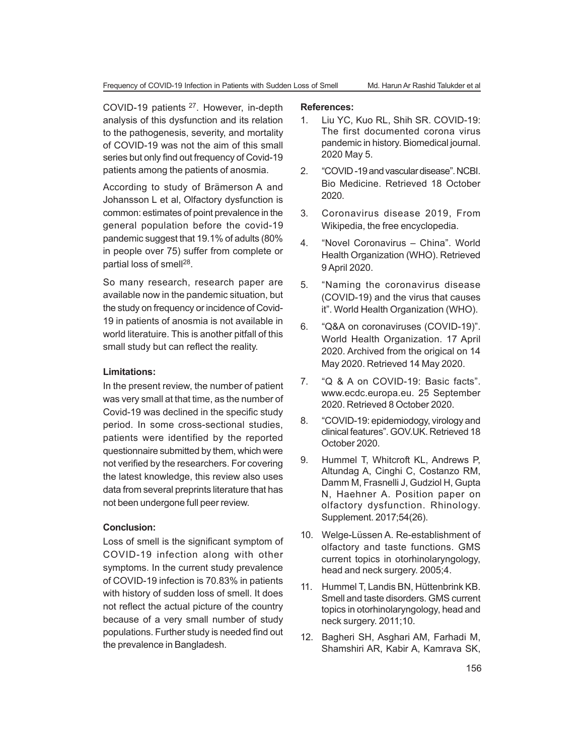COVID-19 patients <sup>27</sup>. However, in-depth analysis of this dysfunction and its relation to the pathogenesis, severity, and mortality of COVID-19 was not the aim of this small series but only find out frequency of Covid-19 patients among the patients of anosmia.

According to study of Brämerson A and Johansson L et al, Olfactory dysfunction is common: estimates of point prevalence in the general population before the covid-19 pandemic suggest that 19.1% of adults (80% in people over 75) suffer from complete or partial loss of smell<sup>28</sup>.

So many research, research paper are available now in the pandemic situation, but the study on frequency or incidence of Covid-19 in patients of anosmia is not available in world literatuire. This is another pitfall of this small study but can reflect the reality.

## **Limitations:**

In the present review, the number of patient was very small at that time, as the number of Covid-19 was declined in the specific study period. In some cross-sectional studies, patients were identified by the reported questionnaire submitted by them, which were not verified by the researchers. For covering the latest knowledge, this review also uses data from several preprints literature that has not been undergone full peer review.

## **Conclusion:**

Loss of smell is the significant symptom of COVID-19 infection along with other symptoms. In the current study prevalence of COVID-19 infection is 70.83% in patients with history of sudden loss of smell. It does not reflect the actual picture of the country because of a very small number of study populations. Further study is needed find out the prevalence in Bangladesh.

#### **References:**

- 1. Liu YC, Kuo RL, Shih SR. COVID-19: The first documented corona virus pandemic in history. Biomedical journal. 2020 May 5.
- 2. "COVID -19 and vascular disease". NCBI. Bio Medicine. Retrieved 18 October 2020.
- 3. Coronavirus disease 2019, From Wikipedia, the free encyclopedia.
- 4. "Novel Coronavirus China". World Health Organization (WHO). Retrieved 9 April 2020.
- 5. "Naming the coronavirus disease (COVID-19) and the virus that causes it". World Health Organization (WHO).
- 6. "Q&A on coronaviruses (COVID-19)". World Health Organization. 17 April 2020. Archived from the origical on 14 May 2020. Retrieved 14 May 2020.
- 7. "Q & A on COVID-19: Basic facts". www.ecdc.europa.eu. 25 September 2020. Retrieved 8 October 2020.
- 8. "COVID-19: epidemiodogy, virology and clinical features". GOV.UK. Retrieved 18 October 2020.
- 9. Hummel T, Whitcroft KL, Andrews P, Altundag A, Cinghi C, Costanzo RM, Damm M, Frasnelli J, Gudziol H, Gupta N, Haehner A. Position paper on olfactory dysfunction. Rhinology. Supplement. 2017;54(26).
- 10. Welge-Lüssen A. Re-establishment of olfactory and taste functions. GMS current topics in otorhinolaryngology, head and neck surgery. 2005;4.
- 11. Hummel T, Landis BN, Hüttenbrink KB. Smell and taste disorders. GMS current topics in otorhinolaryngology, head and neck surgery. 2011;10.
- 12. Bagheri SH, Asghari AM, Farhadi M, Shamshiri AR, Kabir A, Kamrava SK,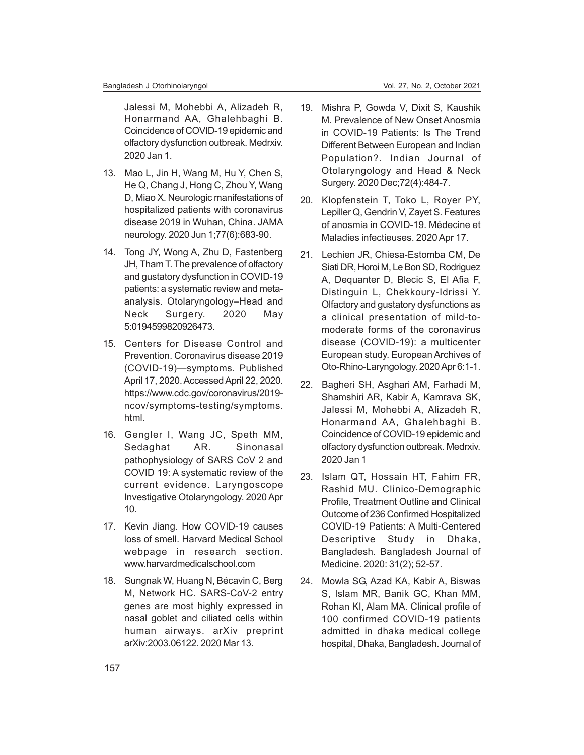Jalessi M, Mohebbi A, Alizadeh R, Honarmand AA, Ghalehbaghi B. Coincidence of COVID-19 epidemic and olfactory dysfunction outbreak. Medrxiv. 2020 Jan 1.

- 13. Mao L, Jin H, Wang M, Hu Y, Chen S, He Q, Chang J, Hong C, Zhou Y, Wang D, Miao X. Neurologic manifestations of hospitalized patients with coronavirus disease 2019 in Wuhan, China. JAMA neurology. 2020 Jun 1;77(6):683-90.
- 14. Tong JY, Wong A, Zhu D, Fastenberg JH, Tham T. The prevalence of olfactory and gustatory dysfunction in COVID-19 patients: a systematic review and metaanalysis. Otolaryngology–Head and Neck Surgery. 2020 May 5:0194599820926473.
- 15. Centers for Disease Control and Prevention. Coronavirus disease 2019 (COVID-19)—symptoms. Published April 17, 2020. Accessed April 22, 2020. https://www.cdc.gov/coronavirus/2019 ncov/symptoms-testing/symptoms. html.
- 16. Gengler I, Wang JC, Speth MM, Sedaghat AR. Sinonasal pathophysiology of SARS CoV 2 and COVID 19: A systematic review of the current evidence. Laryngoscope Investigative Otolaryngology. 2020 Apr 10.
- 17. Kevin Jiang. How COVID-19 causes loss of smell. Harvard Medical School webpage in research section. www.harvardmedicalschool.com
- 18. Sungnak W, Huang N, Bécavin C, Berg M, Network HC. SARS-CoV-2 entry genes are most highly expressed in nasal goblet and ciliated cells within human airways. arXiv preprint arXiv:2003.06122. 2020 Mar 13.
- 19. Mishra P, Gowda V, Dixit S, Kaushik M. Prevalence of New Onset Anosmia in COVID-19 Patients: Is The Trend Different Between European and Indian Population?. Indian Journal of Otolaryngology and Head & Neck Surgery. 2020 Dec;72(4):484-7.
- 20. Klopfenstein T, Toko L, Royer PY, Lepiller Q, Gendrin V, Zayet S. Features of anosmia in COVID-19. Médecine et Maladies infectieuses. 2020 Apr 17.
- 21. Lechien JR, Chiesa-Estomba CM, De Siati DR, Horoi M, Le Bon SD, Rodriguez A, Dequanter D, Blecic S, El Afia F, Distinguin L, Chekkoury-Idrissi Y. Olfactory and gustatory dysfunctions as a clinical presentation of mild-tomoderate forms of the coronavirus disease (COVID-19): a multicenter European study. European Archives of Oto-Rhino-Laryngology. 2020 Apr 6:1-1.
- 22. Bagheri SH, Asghari AM, Farhadi M, Shamshiri AR, Kabir A, Kamrava SK, Jalessi M, Mohebbi A, Alizadeh R, Honarmand AA, Ghalehbaghi B. Coincidence of COVID-19 epidemic and olfactory dysfunction outbreak. Medrxiv. 2020 Jan 1
- 23. Islam QT, Hossain HT, Fahim FR, Rashid MU. Clinico-Demographic Profile, Treatment Outline and Clinical Outcome of 236 Confirmed Hospitalized COVID-19 Patients: A Multi-Centered Descriptive Study in Dhaka, Bangladesh. Bangladesh Journal of Medicine. 2020: 31(2); 52-57.
- 24. Mowla SG, Azad KA, Kabir A, Biswas S, Islam MR, Banik GC, Khan MM, Rohan KI, Alam MA. Clinical profile of 100 confirmed COVID-19 patients admitted in dhaka medical college hospital, Dhaka, Bangladesh. Journal of